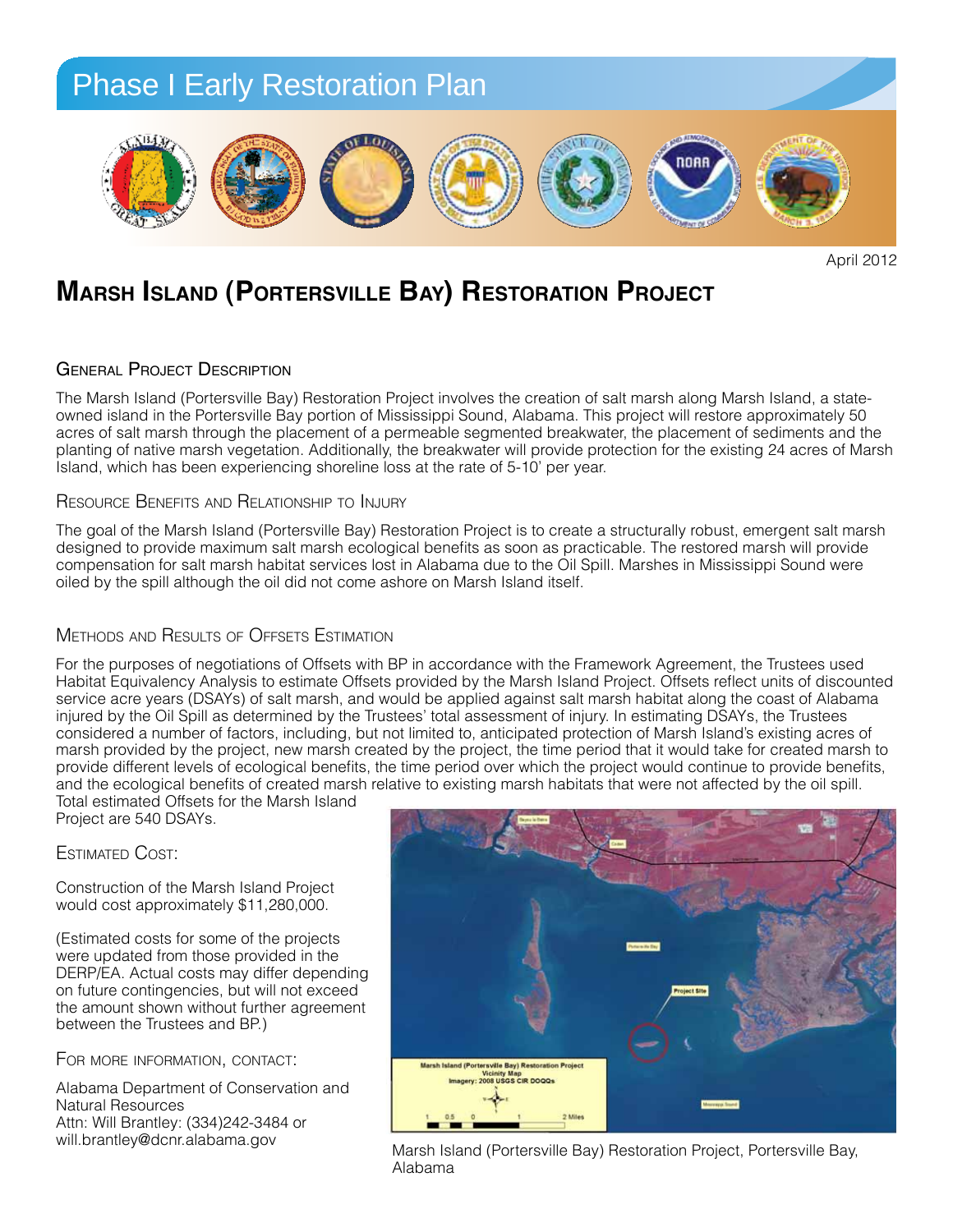

April 2012

## **Marsh Island (Portersville Bay) Restoration Project One Very GOOd Gulf restOratiOn PrOject**

#### **GENERAL PROJECT DESCRIPTION**

The Marsh Island (Portersville Bay) Restoration Project involves the creation of salt marsh along Marsh Island, a stateowned island in the Portersville Bay portion of Mississippi Sound, Alabama. This project will restore approximately 50 acres of salt marsh through the placement of a permeable segmented breakwater, the placement of sediments and the acres or said marsh unough the placement or a permeable segmented breakwater, the placement or sediments and the<br>planting of native marsh vegetation. Additionally, the breakwater will provide protection for the existing 24 Island, which has been experiencing shoreline loss at the rate of 5-10' per year.

## Resource Benefits and Relationship to Injury

The goal of the Marsh Island (Portersville Bay) Restoration Project is to create a structurally robust, emergent salt marsh designed to provide maximum salt marsh ecological benefits as soon as practicable. The restored marsh will provide designed to provide maximum sait marsh ecological benefits as soon as practicable. The restored marsh will provide<br>compensation for salt marsh habitat services lost in Alabama due to the Oil Spill. Marshes in Mississippi S oiled by the spill although the oil did not come ashore on Marsh Island itself. <sup>'</sup> Beach) for the largest group of coasts along the Components along the Alabama Gulf Coast. The Alabama Gulf Coast. The Alabama Gulf Coast. The Alabama Gulf Coast. The Coast of Coast. The Coast of Coast. The Coast of Coast. le goal of the Marsh Island (Portersville Bay) Restoration Project is to create a structurally robust, emergent sait marsh<br>Rejared to are ide movimum of t moreh eaclesies! handlie as easy as restigable. The restared moreh

#### Methods and Results of Offsets Estimation **computer installer installer installer**

For the purposes of negotiations of Offsets with BP in accordance with the Framework Agreement, the Trustees used Habitat Equivalency Analysis to estimate Offsets provided by the Marsh Island Project. Offsets reflect units of discounted service acre years (DSAYs) of salt marsh, and would be applied against salt marsh habitat along the coast of Alabama injured by the Oil Spill as determined by the Trustees' total assessment of injury. In estimating DSAYs, the Trustees considered a number of factors, including, but not limited to, anticipated protection of Marsh Island's existing acres of marsh provided by the project, new marsh created by the project, the time period that it would take for created marsh to *Planting:* provide different levels of ecological benefits, the time period over which the project would continue to provide benefits, and the ecological benefits of created marsh relative to existing marsh habitats that were not affected by the oil spill.<br>Take will be also be all officials will be all behind to be all the approximates that the theory of

Total estimated Offsets for the Marsh Island<br>Project are 540 DSAYs Project are 540 DSAYs.

Estimated Cost:

Construction of the Marsh Island Project **Figure 10" deep to ensure that sufficient** would cost approximately \$11,280,000.

(Estimated costs for some of the projects were updated from those provided in the **SAND FENCION** DERP/EA. Actual costs may differ depending bunnyum. Actual costs may differ depending<br>on future contingencies, but will not exceed

For more information, contact:

Alabarria Department o<br>Natural Resources Attn: Will Brantley: (334)242-3484 or will.brantley@dcnr.alabama.gov



Marsh Island (Portersville Bay) Restoration Project, Portersville Marsh Island (Portersville Bay) Restoration Project, Portersville Bay, Alabama